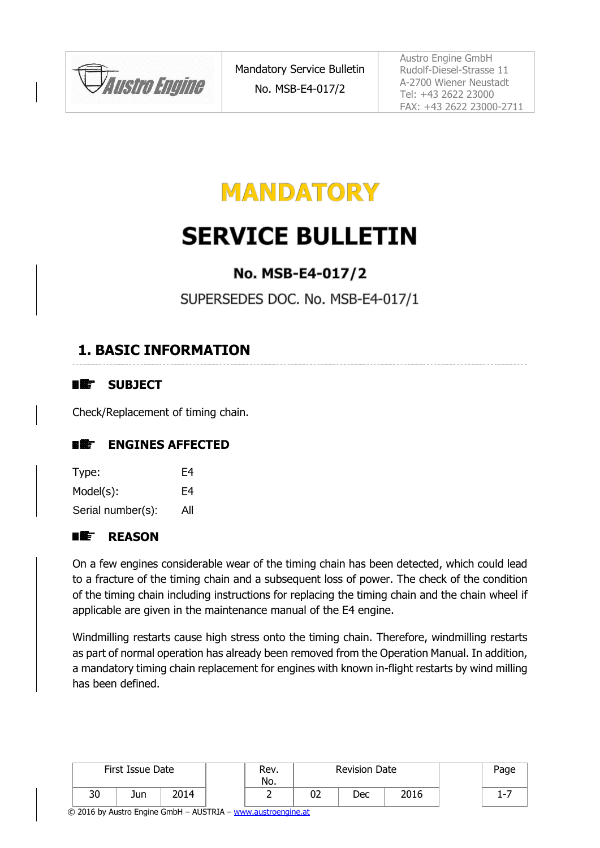



# **SERVICE BULLETIN**

## No. MSB-E4-017/2

SUPERSEDES DOC. No. MSB-E4-017/1

### <span id="page-0-0"></span>**1. BASIC INFORMATION**

#### ■鑑 **SUBJECT**

Check/Replacement of timing chain.

#### **ENGINES AFFECTED** ■鑑

| Type:             | F4  |
|-------------------|-----|
| $Model(s)$ :      | F4  |
| Serial number(s): | All |

#### **REASON** ■雌 ̄

On a few engines considerable wear of the timing chain has been detected, which could lead to a fracture of the timing chain and a subsequent loss of power. The check of the condition of the timing chain including instructions for replacing the timing chain and the chain wheel if applicable are given in the maintenance manual of the E4 engine.

Windmilling restarts cause high stress onto the timing chain. Therefore, windmilling restarts as part of normal operation has already been removed from the Operation Manual. In addition, a mandatory timing chain replacement for engines with known in-flight restarts by wind milling has been defined.

| First Issue Date |     | Rev.<br>No. |  | <b>Revision Date</b> |    |     | Page |  |            |
|------------------|-----|-------------|--|----------------------|----|-----|------|--|------------|
| 30               | Jun | 2014        |  |                      | 02 | Dec | 2016 |  | . <b>.</b> |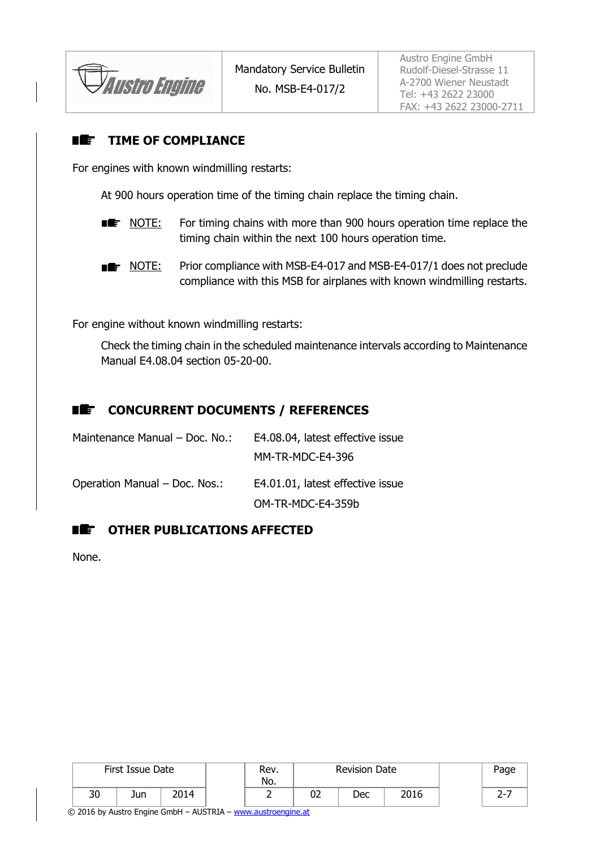Austro Engine

#### **TIME OF COMPLIANCE** 国鑑一

For engines with known windmilling restarts:

At 900 hours operation time of the timing chain replace the timing chain.

- **NOTE:** For timing chains with more than 900 hours operation time replace the timing chain within the next 100 hours operation time.
- **NOTE:** Prior compliance with MSB-E4-017 and MSB-E4-017/1 does not preclude compliance with this MSB for airplanes with known windmilling restarts.

For engine without known windmilling restarts:

Check the timing chain in the scheduled maintenance intervals according to Maintenance Manual E4.08.04 section 05-20-00.



### **REFIGUAL CONCURRENT DOCUMENTS / REFERENCES**

| Maintenance Manual - Doc. No.: | E4.08.04, latest effective issue |
|--------------------------------|----------------------------------|
|                                | MM-TR-MDC-E4-396                 |
| Operation Manual - Doc. Nos.:  | E4.01.01, latest effective issue |
|                                | OM-TR-MDC-E4-359b                |

#### ■鑑 **OTHER PUBLICATIONS AFFECTED**

None.

|                                                                    |    | First Issue Date | <b>Revision Date</b><br>Rev.<br>No. |  |  |    |     |      | Page |  |  |
|--------------------------------------------------------------------|----|------------------|-------------------------------------|--|--|----|-----|------|------|--|--|
|                                                                    | 30 | Jun              | 2014                                |  |  | 02 | Dec | 2016 |      |  |  |
| $\odot$ 2016 by Austro Engine GmbH - AUSTRIA - www.austroengine.at |    |                  |                                     |  |  |    |     |      |      |  |  |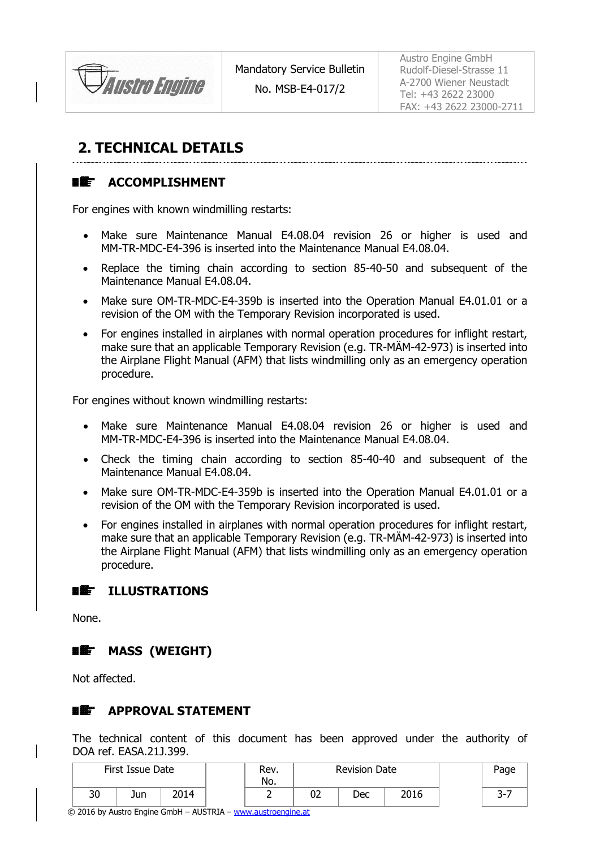

No. MSB-E4-017/2

Austro Engine GmbH Rudolf-Diesel-Strasse 11 A-2700 Wiener Neustadt Tel: +43 2622 23000 FAX: +43 2622 23000-2711

# <span id="page-2-0"></span>**2. TECHNICAL DETAILS**

#### n Æf **ACCOMPLISHMENT**

For engines with known windmilling restarts:

- Make sure Maintenance Manual E4.08.04 revision 26 or higher is used and MM-TR-MDC-E4-396 is inserted into the Maintenance Manual E4.08.04.
- Replace the timing chain according to section 85-40-50 and subsequent of the Maintenance Manual E4.08.04.
- Make sure OM-TR-MDC-E4-359b is inserted into the Operation Manual E4.01.01 or a revision of the OM with the Temporary Revision incorporated is used.
- For engines installed in airplanes with normal operation procedures for inflight restart, make sure that an applicable Temporary Revision (e.g. TR-MÄM-42-973) is inserted into the Airplane Flight Manual (AFM) that lists windmilling only as an emergency operation procedure.

For engines without known windmilling restarts:

- Make sure Maintenance Manual E4.08.04 revision 26 or higher is used and MM-TR-MDC-E4-396 is inserted into the Maintenance Manual E4.08.04.
- Check the timing chain according to section 85-40-40 and subsequent of the Maintenance Manual E4.08.04.
- Make sure OM-TR-MDC-E4-359b is inserted into the Operation Manual E4.01.01 or a revision of the OM with the Temporary Revision incorporated is used.
- For engines installed in airplanes with normal operation procedures for inflight restart, make sure that an applicable Temporary Revision (e.g. TR-MÄM-42-973) is inserted into the Airplane Flight Manual (AFM) that lists windmilling only as an emergency operation procedure.



None.

#### ■鑑 **MASS (WEIGHT)**

Not affected.

#### ■雌一 **APPROVAL STATEMENT**

The technical content of this document has been approved under the authority of DOA ref. EASA.21J.399.

|    | First Issue Date |      | Rev.<br>No. |    | <b>Revision Date</b> |      |  | Page        |
|----|------------------|------|-------------|----|----------------------|------|--|-------------|
| 30 | Jun              | 2014 |             | UZ | Dec                  | 2016 |  | $\sim$<br>້ |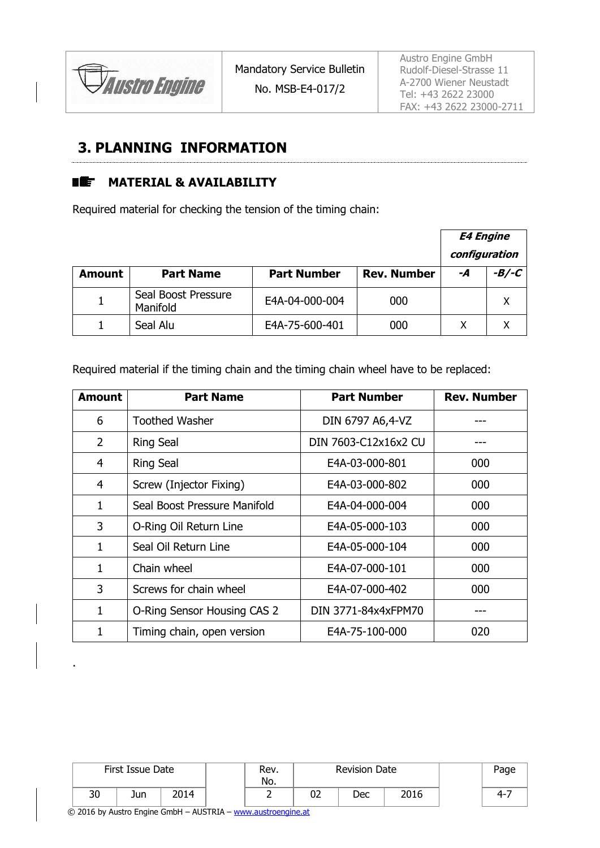

### **3. PLANNING INFORMATION**

#### **MATERIAL & AVAILABILITY** ■鑑

Required material for checking the tension of the timing chain:

|               |                                 |                    |                    | <b>E4 Engine</b><br>configuration |         |
|---------------|---------------------------------|--------------------|--------------------|-----------------------------------|---------|
| <b>Amount</b> | <b>Part Name</b>                | <b>Part Number</b> | <b>Rev. Number</b> | -A                                | $-B/-C$ |
|               | Seal Boost Pressure<br>Manifold | E4A-04-000-004     | 000                |                                   |         |
|               | Seal Alu                        | E4A-75-600-401     | 000                |                                   |         |

Required material if the timing chain and the timing chain wheel have to be replaced:

| <b>Amount</b>  | <b>Part Name</b>             | <b>Part Number</b>   | <b>Rev. Number</b> |
|----------------|------------------------------|----------------------|--------------------|
| 6              | <b>Toothed Washer</b>        | DIN 6797 A6,4-VZ     |                    |
| 2              | <b>Ring Seal</b>             | DIN 7603-C12x16x2 CU |                    |
| 4              | <b>Ring Seal</b>             | E4A-03-000-801       | 000                |
| $\overline{4}$ | Screw (Injector Fixing)      | E4A-03-000-802       | 000                |
| 1              | Seal Boost Pressure Manifold | E4A-04-000-004       | 000                |
| 3              | O-Ring Oil Return Line       | E4A-05-000-103       | 000                |
| 1              | Seal Oil Return Line         | E4A-05-000-104       | 000                |
| 1              | Chain wheel                  | E4A-07-000-101       | 000                |
| 3              | Screws for chain wheel       | E4A-07-000-402       | 000                |
| 1              | O-Ring Sensor Housing CAS 2  | DIN 3771-84x4xFPM70  |                    |
| 1              | Timing chain, open version   | E4A-75-100-000       | 020                |

|    | First Issue Date |      | Rev.<br>No. | <b>Revision Date</b> |    |     | Page |         |
|----|------------------|------|-------------|----------------------|----|-----|------|---------|
| 30 | Jun              | 2014 |             |                      | 02 | Dec | 2016 | $4 - 7$ |

© 2016 by Austro Engine GmbH – AUSTRIA – [www.austroengine.at](http://www.austroengine.at/)

.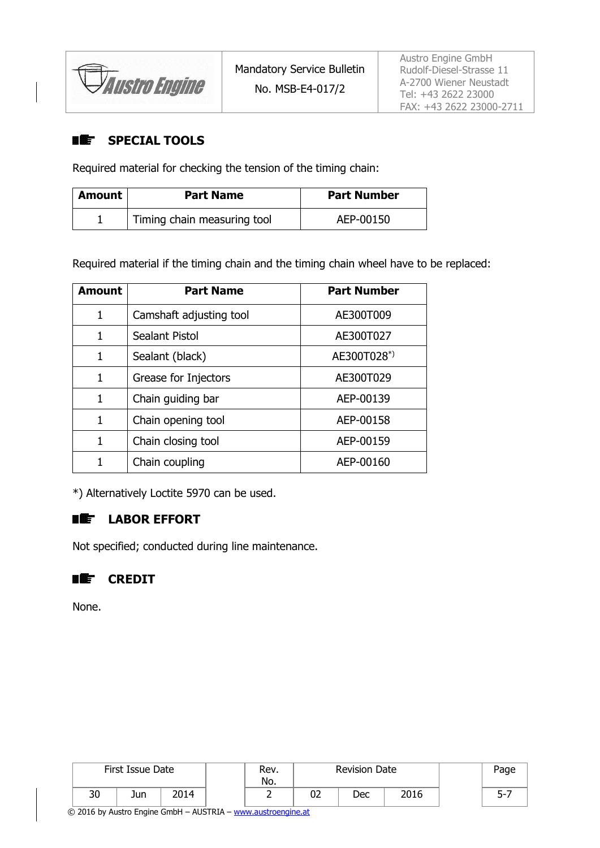*Austro Engine* 

#### **SPECIAL TOOLS** ■鑑

Required material for checking the tension of the timing chain:

| Amount | <b>Part Name</b>            | <b>Part Number</b> |
|--------|-----------------------------|--------------------|
|        | Timing chain measuring tool | AEP-00150          |

Required material if the timing chain and the timing chain wheel have to be replaced:

| <b>Amount</b> | <b>Part Name</b>        | <b>Part Number</b> |
|---------------|-------------------------|--------------------|
| 1             | Camshaft adjusting tool | AE300T009          |
| 1             | Sealant Pistol          | AE300T027          |
| 1             | Sealant (black)         | AE300T028*)        |
| 1             | Grease for Injectors    | AE300T029          |
| 1             | Chain guiding bar       | AEP-00139          |
| 1             | Chain opening tool      | AEP-00158          |
| 1             | Chain closing tool      | AEP-00159          |
|               | Chain coupling          | AEP-00160          |

\*) Alternatively Loctite 5970 can be used.

#### ■鑑 **LABOR EFFORT**

Not specified; conducted during line maintenance.

### **【【】** CREDIT

None.

| First Issue Date |     | Rev.<br>No. |   | <b>Revision Date</b> |     | Page |         |
|------------------|-----|-------------|---|----------------------|-----|------|---------|
| 30               | Jun | 2014        | - | 02                   | Dec | 2016 | ¬−<br>ٮ |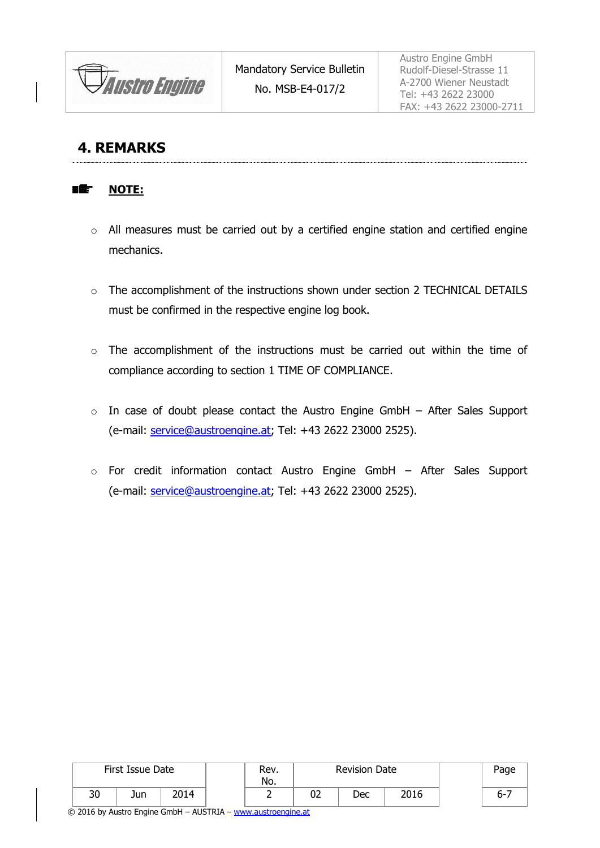**Austro Engine** 

### **4. REMARKS**

#### **NOTE:** ■鑑

- o All measures must be carried out by a certified engine station and certified engine mechanics.
- o The accomplishment of the instructions shown under section [2](#page-2-0) TECHNICAL DETAILS must be confirmed in the respective engine log book.
- o The accomplishment of the instructions must be carried out within the time of compliance according to section [1](#page-0-0) TIME OF COMPLIANCE.
- $\circ$  In case of doubt please contact the Austro Engine GmbH After Sales Support (e-mail: [service@austroengine.at;](mailto:service@austroengine.at) Tel: +43 2622 23000 2525).
- o For credit information contact Austro Engine GmbH After Sales Support (e-mail: [service@austroengine.at;](mailto:service@austroengine.at) Tel: +43 2622 23000 2525).

| First Issue Date |     | Rev.<br>No. | <b>Revision Date</b> |   |          | Page |      |         |
|------------------|-----|-------------|----------------------|---|----------|------|------|---------|
| 30               | Jun | 2014        |                      | - | ∩≏<br>UZ | Dec  | 2016 | $6 - 7$ |